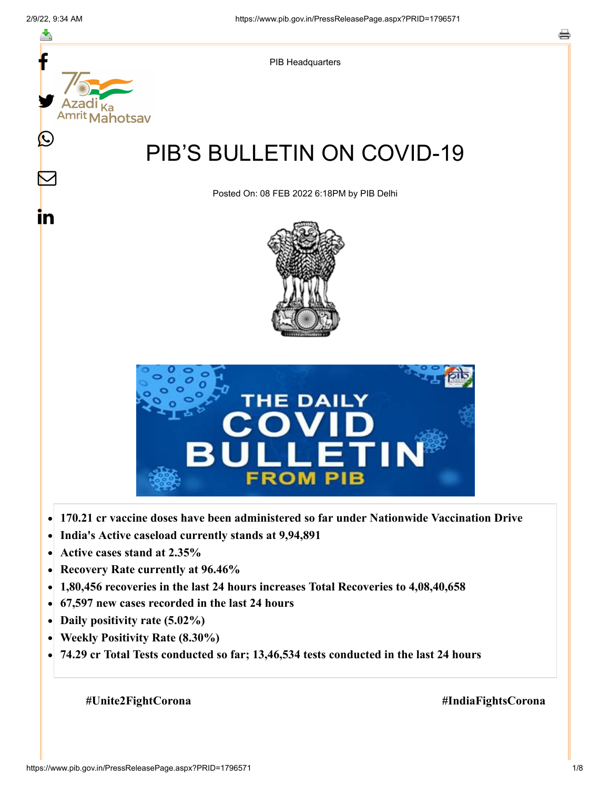

- **India's Active caseload currently stands at 9,94,891**  $\bullet$
- **Active cases stand at 2.35%**  $\bullet$
- **Recovery Rate currently at 96.46%**  $\bullet$
- **1,80,456 recoveries in the last 24 hours increases Total Recoveries to 4,08,40,658**  $\bullet$
- **67,597 new cases recorded in the last 24 hours**  $\bullet$
- **Daily positivity rate (5.02%)**  $\bullet$
- **Weekly Positivity Rate (8.30%)**  $\bullet$
- **74.29 cr Total Tests conducted so far; 13,46,534 tests conducted in the last 24 hours**  $\bullet$

 **#Unite2FightCorona #IndiaFightsCorona**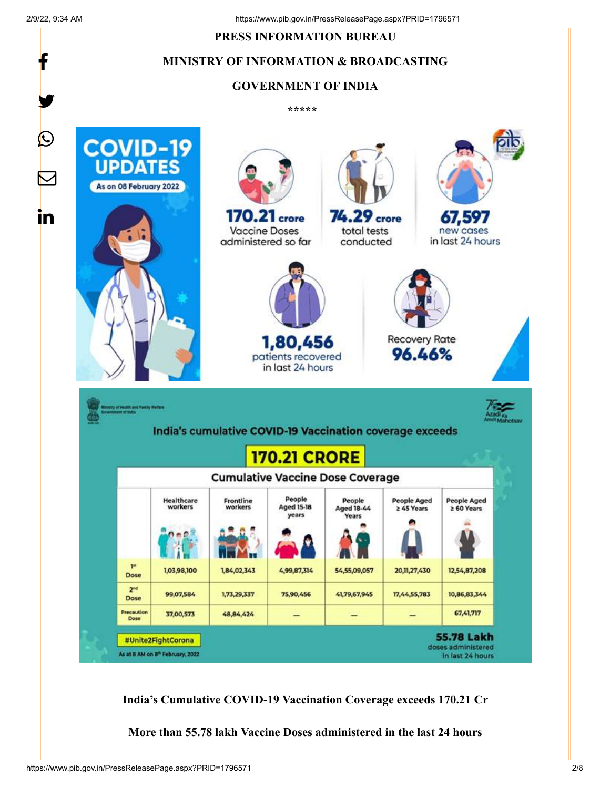f

y.

#### **PRESS INFORMATION BUREAU**

### **MINISTRY OF INFORMATION & BROADCASTING**

### **GOVERNMENT OF INDIA**

**\*\*\*\*\*** 



**India's Cumulative COVID-19 Vaccination Coverage exceeds 170.21 Cr**

**More than 55.78 lakh Vaccine Doses administered in the last 24 hours**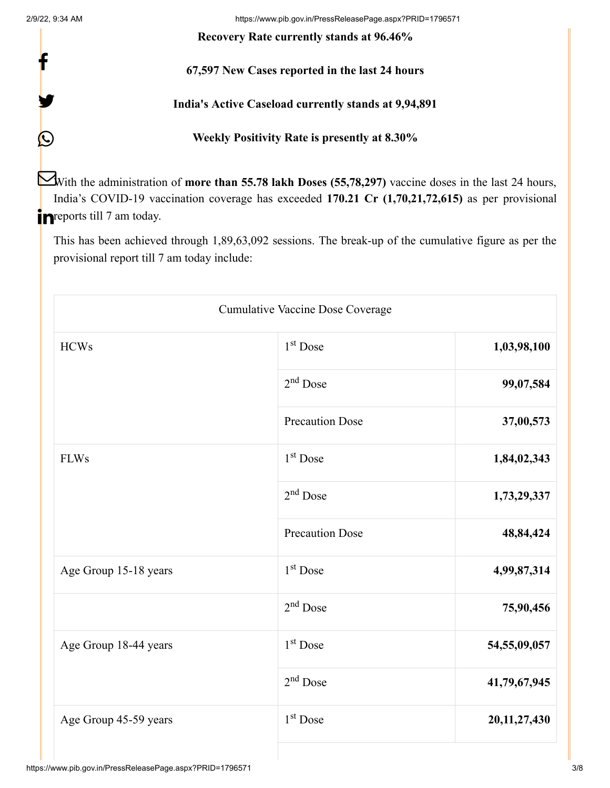f

y.

 $\bigcirc$ 

2/9/22, 9:34 AM https://www.pib.gov.in/PressReleasePage.aspx?PRID=1796571

**Recovery Rate currently stands at 96.46%**

# **67,597 New Cases reported in the last 24 hours**

**India's Active Caseload currently stands at 9,94,891**

**Weekly Positivity Rate is presently at 8.30%**

With the administration of **more than 55.78 lakh Doses (55,78,297)** vaccine doses in the last 24 hours, India's COVID-19 vaccination coverage has exceeded **170.21 Cr (1,70,21,72,615)** as per provisional **P**reports till 7 am today.

This has been achieved through 1,89,63,092 sessions. The break-up of the cumulative figure as per the provisional report till 7 am today include:

| Cumulative Vaccine Dose Coverage |                        |              |  |  |
|----------------------------------|------------------------|--------------|--|--|
| <b>HCWs</b>                      | $1st$ Dose             | 1,03,98,100  |  |  |
|                                  | $2nd$ Dose             | 99,07,584    |  |  |
|                                  | <b>Precaution Dose</b> | 37,00,573    |  |  |
| <b>FLWs</b>                      | 1 <sup>st</sup> Dose   | 1,84,02,343  |  |  |
|                                  | $2nd$ Dose             | 1,73,29,337  |  |  |
|                                  | <b>Precaution Dose</b> | 48,84,424    |  |  |
| Age Group 15-18 years            | $1st$ Dose             | 4,99,87,314  |  |  |
|                                  | $2nd$ Dose             | 75,90,456    |  |  |
| Age Group 18-44 years            | $1st$ Dose             | 54,55,09,057 |  |  |
|                                  | $2nd$ Dose             | 41,79,67,945 |  |  |
| Age Group 45-59 years            | 1 <sup>st</sup> Dose   | 20,11,27,430 |  |  |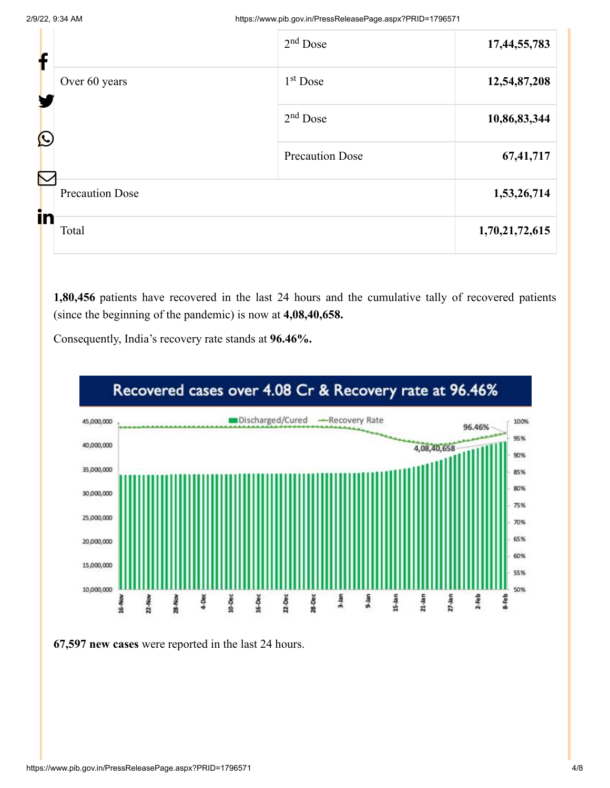| T           |                        | $2nd$ Dose             | 17,44,55,783 |
|-------------|------------------------|------------------------|--------------|
| $\bigcirc$  | Over 60 years          | $1st$ Dose             | 12,54,87,208 |
|             |                        | $2nd$ Dose             | 10,86,83,344 |
| N           |                        | <b>Precaution Dose</b> | 67,41,717    |
|             | <b>Precaution Dose</b> |                        | 1,53,26,714  |
| in<br>Total |                        | 1,70,21,72,615         |              |

**1,80,456** patients have recovered in the last 24 hours and the cumulative tally of recovered patients (since the beginning of the pandemic) is now at **4,08,40,658.**



Consequently, India's recovery rate stands at **96.46%.**

**67,597 new cases** were reported in the last 24 hours.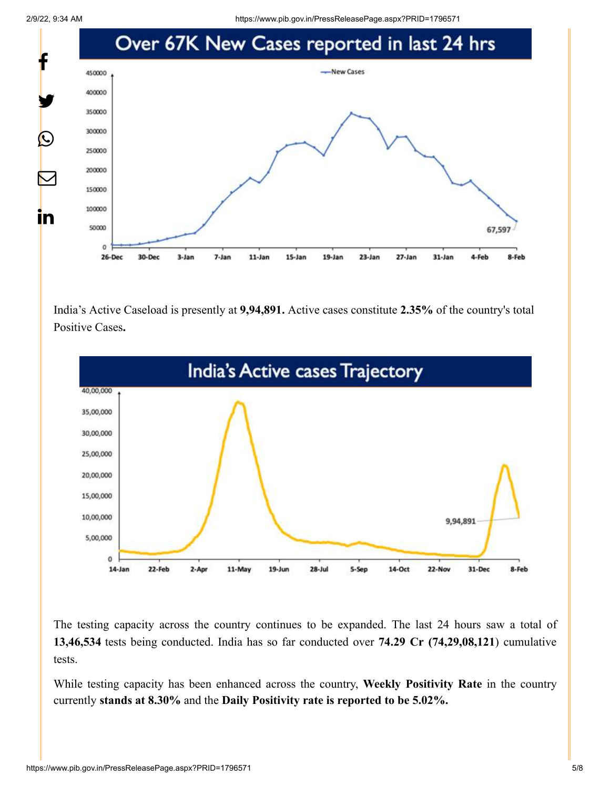2/9/22, 9:34 AM https://www.pib.gov.in/PressReleasePage.aspx?PRID=1796571



India's Active Caseload is presently at **9,94,891.** Active cases constitute **2.35%** of the country's total Positive Cases**.**



The testing capacity across the country continues to be expanded. The last 24 hours saw a total of **13,46,534** tests being conducted. India has so far conducted over **74.29 Cr (74,29,08,121**) cumulative tests.

While testing capacity has been enhanced across the country, **Weekly Positivity Rate** in the country currently **stands at 8.30%** and the **Daily Positivity rate is reported to be 5.02%.**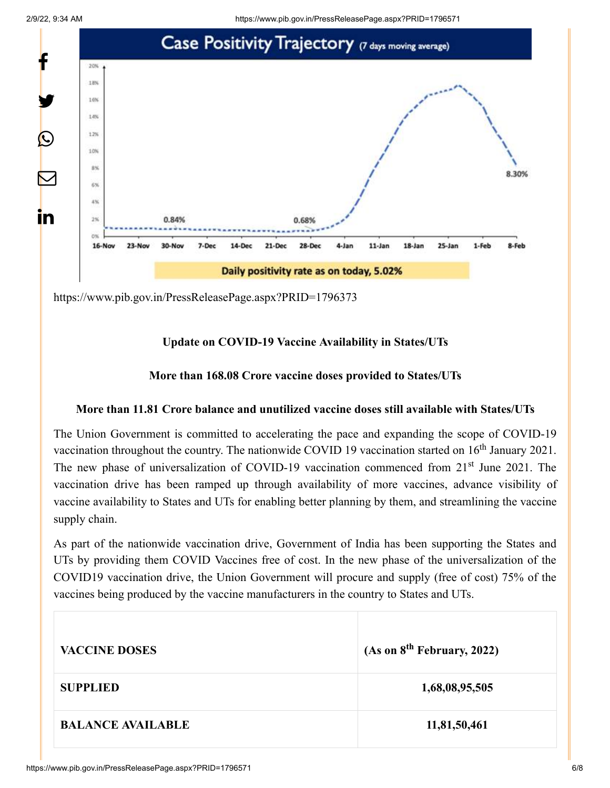



<https://www.pib.gov.in/PressReleasePage.aspx?PRID=1796373>

## **Update on COVID-19 Vaccine Availability in States/UTs**

## **More than 168.08 Crore vaccine doses provided to States/UTs**

## **More than 11.81 Crore balance and unutilized vaccine doses still available with States/UTs**

The Union Government is committed to accelerating the pace and expanding the scope of COVID-19 vaccination throughout the country. The nationwide COVID 19 vaccination started on  $16<sup>th</sup>$  January 2021. The new phase of universalization of COVID-19 vaccination commenced from 21<sup>st</sup> June 2021. The vaccination drive has been ramped up through availability of more vaccines, advance visibility of vaccine availability to States and UTs for enabling better planning by them, and streamlining the vaccine supply chain.

As part of the nationwide vaccination drive, Government of India has been supporting the States and UTs by providing them COVID Vaccines free of cost. In the new phase of the universalization of the COVID19 vaccination drive, the Union Government will procure and supply (free of cost) 75% of the vaccines being produced by the vaccine manufacturers in the country to States and UTs.

| <b>VACCINE DOSES</b>     | (As on 8 <sup>th</sup> February, 2022) |
|--------------------------|----------------------------------------|
| <b>SUPPLIED</b>          | 1,68,08,95,505                         |
| <b>BALANCE AVAILABLE</b> | 11,81,50,461                           |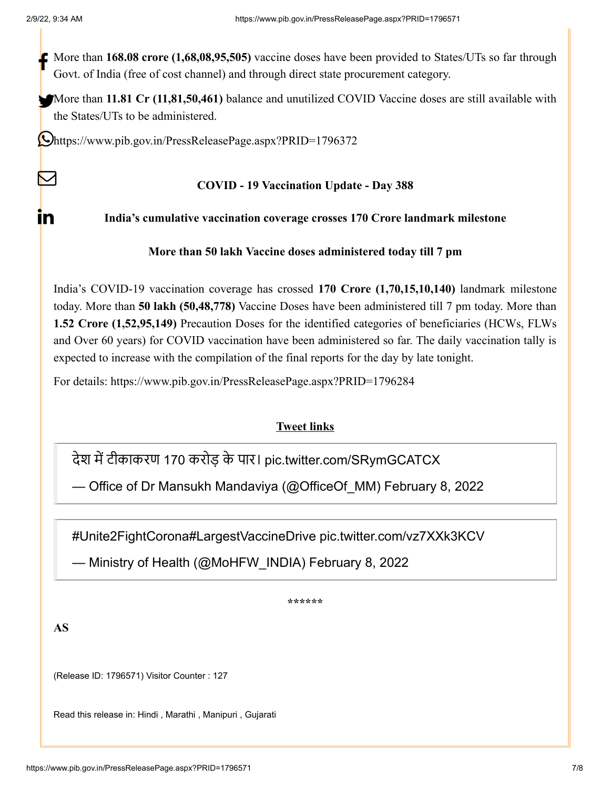$\bm{\nabla}$ 

 $\mathbf{m}$ 

More than 168.08 crore (1,68,08,95,505) vaccine doses have been provided to States/UTs so far through  $\epsilon$ Govt. of India (free of cost channel) and through direct state procurement category.

More than **11.81 Cr (11,81,50,461)** balance and unutilized COVID Vaccine doses are still available with the States/UTs to be administered.

<https://www.pib.gov.in/PressReleasePage.aspx?PRID=1796372>

### **COVID - 19 Vaccination Update - Day 388**

#### **India's cumulative vaccination coverage crosses 170 Crore landmark milestone**

#### **More than 50 lakh Vaccine doses administered today till 7 pm**

India's COVID-19 vaccination coverage has crossed **170 Crore (1,70,15,10,140)** landmark milestone today. More than **50 lakh (50,48,778)** Vaccine Doses have been administered till 7 pm today. More than **1.52 Crore (1,52,95,149)** Precaution Doses for the identified categories of beneficiaries (HCWs, FLWs and Over 60 years) for COVID vaccination have been administered so far. The daily vaccination tally is expected to increase with the compilation of the final reports for the day by late tonight.

For details:<https://www.pib.gov.in/PressReleasePage.aspx?PRID=1796284>

### **Tweet links**

देश में टीकाकरण 170 करोड़ के पार। [pic.twitter.com/SRymGCATCX](https://t.co/SRymGCATCX)

— Office of Dr Mansukh Mandaviya (@OfficeOf\_MM) [February 8, 2022](https://twitter.com/OfficeOf_MM/status/1490902354920554498?ref_src=twsrc%5Etfw)

[#Unite2FightCorona](https://twitter.com/hashtag/Unite2FightCorona?src=hash&ref_src=twsrc%5Etfw)[#LargestVaccineDrive](https://twitter.com/hashtag/LargestVaccineDrive?src=hash&ref_src=twsrc%5Etfw) [pic.twitter.com/vz7XXk3KCV](https://t.co/vz7XXk3KCV)

— Ministry of Health (@MoHFW\_INDIA) [February 8, 2022](https://twitter.com/MoHFW_INDIA/status/1490927134189457408?ref_src=twsrc%5Etfw)

**\*\*\*\*\*\***

**AS**

(Release ID: 1796571) Visitor Counter : 127

Read this release in: [Hindi](https://pib.gov.in/PressReleasePage.aspx?PRID=1796635) , [Marathi](https://pib.gov.in/PressReleasePage.aspx?PRID=1796628) , [Manipuri](https://pib.gov.in/PressReleasePage.aspx?PRID=1796594) , [Gujarati](https://pib.gov.in/PressReleasePage.aspx?PRID=1796661)